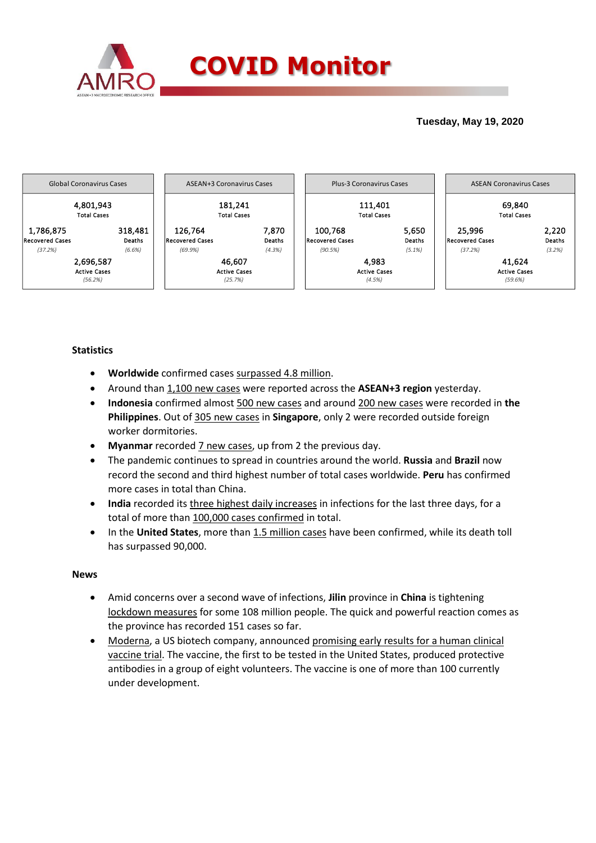

# **Tuesday, May 19, 2020**



# **Statistics**

- **Worldwide** confirmed cases surpassed 4.8 million.
- Around than 1,100 new cases were reported across the **ASEAN+3 region** yesterday.
- **Indonesia** confirmed almost 500 new cases and around 200 new cases were recorded in **the Philippines**. Out of 305 new cases in **Singapore**, only 2 were recorded outside foreign worker dormitories.
- **Myanmar** recorded 7 new cases, up from 2 the previous day.
- The pandemic continues to spread in countries around the world. **Russia** and **Brazil** now record the second and third highest number of total cases worldwide. **Peru** has confirmed more cases in total than China.
- **India** recorded its three highest daily increases in infections for the last three days, for a total of more than 100,000 cases confirmed in total.
- In the **United States**, more than 1.5 million cases have been confirmed, while its death toll has surpassed 90,000.

### **News**

- Amid concerns over a second wave of infections, **Jilin** province in **China** is tightening lockdown measures for some 108 million people. The quick and powerful reaction comes as the province has recorded 151 cases so far.
- Moderna, a US biotech company, announced promising early results for a human clinical vaccine trial. The vaccine, the first to be tested in the United States, produced protective antibodies in a group of eight volunteers. The vaccine is one of more than 100 currently under development.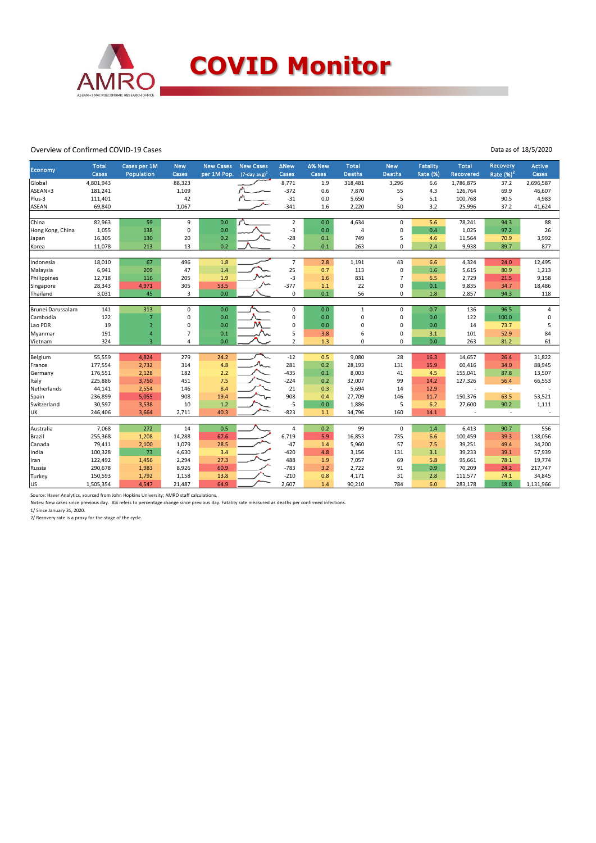

#### Overview of Confirmed COVID-19 Cases

Data as of 18/5/2020

|                   | <b>Total</b> | Cases per 1M   | <b>New</b>     | <b>New Cases</b> | <b>New Cases</b>    | <b>ANew</b>    | ∆% New | <b>Total</b>   | <b>New</b>     | <b>Fatality</b> | <b>Total</b>     | Recovery    | <b>Active</b>  |
|-------------------|--------------|----------------|----------------|------------------|---------------------|----------------|--------|----------------|----------------|-----------------|------------------|-------------|----------------|
| Economy           | Cases        | Population     | Cases          | per 1M Pop.      | $(7$ -day avg $)^1$ | Cases          | Cases  | <b>Deaths</b>  | <b>Deaths</b>  | Rate (%)        | <b>Recovered</b> | Rate $(%)2$ | Cases          |
| Global            | 4,801,943    |                | 88,323         |                  |                     | 8,771          | 1.9    | 318,481        | 3,296          | 6.6             | 1,786,875        | 37.2        | 2,696,587      |
| ASEAN+3           | 181,241      |                | 1,109          |                  |                     | $-372$         | 0.6    | 7,870          | 55             | 4.3             | 126,764          | 69.9        | 46,607         |
| Plus-3            | 111,401      |                | 42             |                  |                     | $-31$          | 0.0    | 5,650          | 5              | 5.1             | 100,768          | 90.5        | 4,983          |
| ASEAN             | 69,840       |                | 1,067          |                  |                     | $-341$         | 1.6    | 2,220          | 50             | 3.2             | 25,996           | 37.2        | 41,624         |
|                   |              |                |                |                  |                     |                |        |                |                |                 |                  |             |                |
| China             | 82,963       | 59             | 9              | 0.0              | $\sim$              | $\overline{2}$ | 0.0    | 4,634          | $\mathbf 0$    | 5.6             | 78,241           | 94.3        | 88             |
| Hong Kong, China  | 1,055        | 138            | $\mathbf 0$    | 0.0              |                     | $-3$           | 0.0    | $\overline{a}$ | $\mathbf 0$    | 0.4             | 1,025            | 97.2        | 26             |
| Japan             | 16,305       | 130            | 20             | 0.2              |                     | $-28$          | 0.1    | 749            | 5              | 4.6             | 11,564           | 70.9        | 3,992          |
| Korea             | 11,078       | 213            | 13             | 0.2              |                     | $-2$           | 0.1    | 263            | $\mathbf 0$    | 2.4             | 9,938            | 89.7        | 877            |
|                   |              |                |                |                  |                     |                |        |                |                |                 |                  |             |                |
| Indonesia         | 18,010       | 67             | 496            | 1.8              |                     | $\overline{7}$ | 2.8    | 1,191          | 43             | 6.6             | 4,324            | 24.0        | 12,495         |
| Malaysia          | 6,941        | 209            | 47             | 1.4              |                     | 25             | 0.7    | 113            | $\mathbf 0$    | 1.6             | 5,615            | 80.9        | 1,213          |
| Philippines       | 12,718       | 116            | 205            | 1.9              |                     | $-3$           | 1.6    | 831            | $\overline{7}$ | 6.5             | 2,729            | 21.5        | 9,158          |
| Singapore         | 28,343       | 4,971          | 305            | 53.5             |                     | $-377$         | 1.1    | 22             | $\mathbf 0$    | 0.1             | 9,835            | 34.7        | 18,486         |
| Thailand          | 3,031        | 45             | 3              | 0.0              |                     | 0              | 0.1    | 56             | $\mathbf 0$    | 1.8             | 2,857            | 94.3        | 118            |
|                   |              |                |                |                  |                     |                |        |                |                |                 |                  |             |                |
| Brunei Darussalam | 141          | 313            | $\pmb{0}$      | 0.0              |                     | $\mathbf 0$    | 0.0    | $\mathbf{1}$   | $\mathbf 0$    | 0.7             | 136              | 96.5        | $\overline{4}$ |
| Cambodia          | 122          | $\overline{7}$ | 0              | 0.0              |                     | 0              | 0.0    | $\mathbf 0$    | 0              | 0.0             | 122              | 100.0       | $\mathsf 0$    |
| Lao PDR           | 19           | 3              | $\mathbf 0$    | 0.0              |                     | 0              | 0.0    | $\mathbf 0$    | $\mathbf 0$    | 0.0             | 14               | 73.7        | 5              |
| Myanmar           | 191          | $\overline{4}$ | $\overline{7}$ | 0.1              |                     | 5              | 3.8    | 6              | 0              | 3.1             | 101              | 52.9        | 84             |
| Vietnam           | 324          | $\overline{3}$ | $\overline{4}$ | 0.0              |                     | $\overline{2}$ | 1.3    | $\mathbf 0$    | $\mathbf 0$    | 0.0             | 263              | 81.2        | 61             |
|                   |              |                |                |                  |                     |                |        |                |                |                 |                  |             |                |
| Belgium           | 55,559       | 4,824          | 279            | 24.2             |                     | $-12$          | 0.5    | 9,080          | 28             | 16.3            | 14,657           | 26.4        | 31,822         |
| France            | 177,554      | 2,732          | 314            | 4.8              |                     | 281            | 0.2    | 28,193         | 131            | 15.9            | 60,416           | 34.0        | 88,945         |
| Germany           | 176,551      | 2,128          | 182            | 2.2              |                     | $-435$         | 0.1    | 8,003          | 41             | 4.5             | 155,041          | 87.8        | 13,507         |
| <b>Italy</b>      | 225,886      | 3,750          | 451            | 7.5              |                     | $-224$         | 0.2    | 32,007         | 99             | 14.2            | 127,326          | 56.4        | 66,553         |
| Netherlands       | 44,141       | 2,554          | 146            | 8.4              |                     | 21             | 0.3    | 5,694          | 14             | 12.9            |                  | $\sim$      |                |
| Spain             | 236,899      | 5,055          | 908            | 19.4             |                     | 908            | 0.4    | 27,709         | 146            | 11.7            | 150,376          | 63.5        | 53,521         |
| Switzerland       | 30,597       | 3,538          | 10             | 1.2              |                     | -5             | 0.0    | 1,886          | 5              | 6.2             | 27,600           | 90.2        | 1,111          |
| UK                | 246,406      | 3,664          | 2,711          | 40.3             |                     | $-823$         | 1.1    | 34,796         | 160            | 14.1            |                  | $\sim$      |                |
|                   |              |                |                |                  |                     |                |        |                |                |                 |                  |             |                |
| Australia         | 7,068        | 272            | 14             | 0.5              |                     | $\overline{4}$ | 0.2    | 99             | $\mathbf 0$    | 1.4             | 6,413            | 90.7        | 556            |
| Brazil            | 255,368      | 1,208          | 14,288         | 67.6             |                     | 6,719          | 5.9    | 16,853         | 735            | 6.6             | 100,459          | 39.3        | 138,056        |
| Canada            | 79,411       | 2,100          | 1,079          | 28.5             |                     | $-47$          | 1.4    | 5,960          | 57             | 7.5             | 39,251           | 49.4        | 34,200         |
| India             | 100,328      | 73             | 4,630          | 3.4              |                     | $-420$         | 4.8    | 3,156          | 131            | 3.1             | 39,233           | 39.1        | 57,939         |
| Iran              | 122,492      | 1,456          | 2,294          | 27.3             |                     | 488            | 1.9    | 7,057          | 69             | 5.8             | 95,661           | 78.1        | 19,774         |
| Russia            | 290,678      | 1,983          | 8,926          | 60.9             |                     | $-783$         | 3.2    | 2,722          | 91             | 0.9             | 70,209           | 24.2        | 217,747        |
| Turkey            | 150,593      | 1,792          | 1,158          | 13.8             |                     | $-210$         | 0.8    | 4,171          | 31             | 2.8             | 111,577          | 74.1        | 34,845         |
| lus               | 1,505,354    | 4,547          | 21,487         | 64.9             |                     | 2,607          | 1.4    | 90,210         | 784            | 6.0             | 283,178          | 18.8        | 1,131,966      |

Source: Haver Analytics, sourced from John Hopkins University; AMRO staff calculations.

Notes: New cases since previous day. Δ% refers to percentage change since previous day. Fatality rate measured as deaths per confirmed infections.

1/ Since January 31, 2020. 2/ Recovery rate is a proxy for the stage of the cycle.